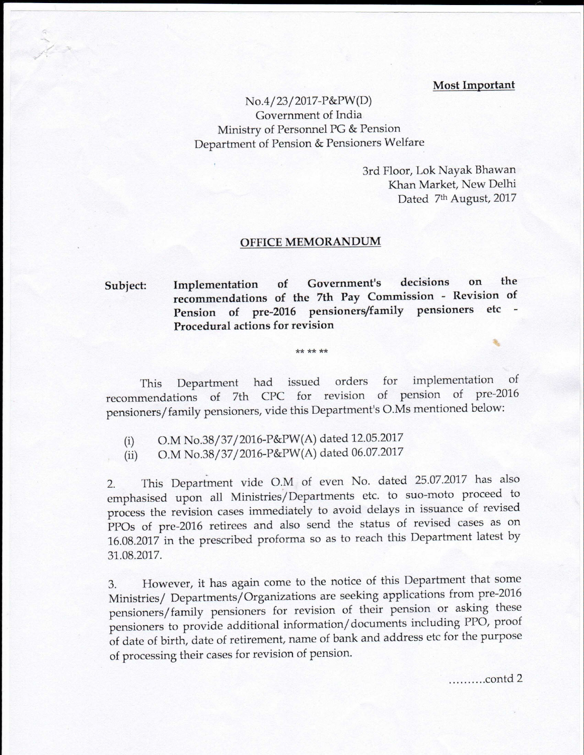## **Most Important**

 $No.4/23/2017-P\&PW(D)$ Government of India Ministry of Personnel PG & Pension Department of Pension & Pensioners Welfare

> 3rd Floor, Lok Nayak Bhawan Khan Market, New Delhi Dated 7th August, 2017

## **OFFICE MEMORANDUM**

## **Subject: Implementation of Government's decisions on the recommendations of the 7th Pay Commission - Revision of Pension** of pre-2016 pensioners/family pensioners etc **Procedural actions for revision**

\*\* \*\* \*\*

This Department had issued orders for implementation of recommendations of 7th CPC for revision of pension of pre-2016 pensioners/ family pensioners, vide this Department's O.Ms mentioned below:

- (i) O.M No.38/37/2016-P&PW(A) dated 12.05.2017
- (ii) O.M No.38/37/2016-P&PW(A) dated 06.07.2017

- 2. This Department vide O.M. of even No. dated 25.07.2017 has also emphasised upon all Ministries/Departments etc. to suo-moto proceed to process the revision cases immediately to avoid delays in issuance of revised PPOs of pre-2016 retirees and also send the status of revised cases as on 16.08.2017 in the prescribed proforma so as to reach this Department latest by 31.08.2017.

3. However, it has again come to the notice of this Department that some Ministries/ Departments/Organizations are seeking applications from pre-2016 pensioners/ family pensioners for revision of their pension or asking these pensioners to provide additional information/ documents including PPO, proof of date of birth, date of retirement, name of bank and address etc for the purpose of processing their cases for revision of pension.

..........contd 2